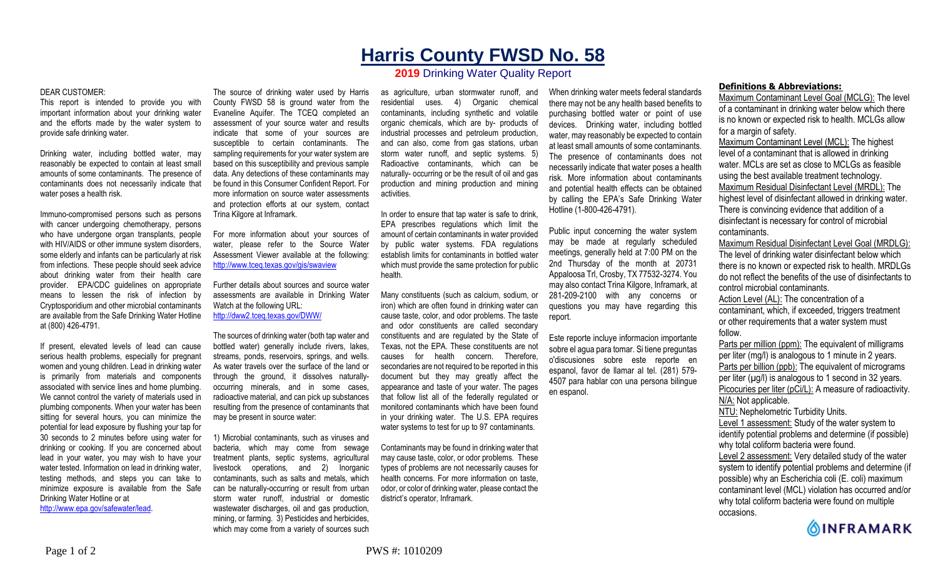## **Harris County FWSD No. 58**

## **2019** Drinking Water Quality Report

## DEAR CUSTOMER:

This report is intended to provide you with important information about your drinking water and the efforts made by the water system to provide safe drinking water.

Drinking water, including bottled water, may reasonably be expected to contain at least small amounts of some contaminants. The presence of contaminants does not necessarily indicate that water poses a health risk.

Immuno-compromised persons such as persons with cancer undergoing chemotherapy, persons who have undergone organ transplants, people with HIV/AIDS or other immune system disorders, some elderly and infants can be particularly at risk from infections. These people should seek advice about drinking water from their health care provider. EPA/CDC guidelines on appropriate means to lessen the risk of infection by Cryptosporidium and other microbial contaminants are available from the Safe Drinking Water Hotline at (800) 426-4791.

If present, elevated levels of lead can cause serious health problems, especially for pregnant women and young children. Lead in drinking water is primarily from materials and components associated with service lines and home plumbing. We cannot control the variety of materials used in plumbing components. When your water has been sitting for several hours, you can minimize the potential for lead exposure by flushing your tap for 30 seconds to 2 minutes before using water for drinking or cooking. If you are concerned about lead in your water, you may wish to have your water tested. Information on lead in drinking water, testing methods, and steps you can take to minimize exposure is available from the Safe Drinking Water Hotline or at http://www.epa.gov/safewater/lead.

The source of drinking water used by Harris County FWSD 58 is ground water from the Evaneline Aquifer. The TCEQ completed an assessment of your source water and results indicate that some of your sources are susceptible to certain contaminants. The sampling requirements for your water system are based on this susceptibility and previous sample data. Any detections of these contaminants may be found in this Consumer Confident Report. For more information on source water assessments and protection efforts at our system, contact Trina Kilgore at Inframark.

For more information about your sources of water, please refer to the Source Water Assessment Viewer available at the following: http://www.tceq.texas.gov/gis/swaview

Further details about sources and source water assessments are available in Drinking Water Watch at the following URL: http://dww2.tceq.texas.gov/DWW/

The sources of drinking water (both tap water and bottled water) generally include rivers, lakes, streams, ponds, reservoirs, springs, and wells. As water travels over the surface of the land or through the ground, it dissolves naturallyoccurring minerals, and in some cases, radioactive material, and can pick up substances resulting from the presence of contaminants that may be present in source water:

1) Microbial contaminants, such as viruses and bacteria, which may come from sewage treatment plants, septic systems, agricultural livestock operations, and 2) Inorganic contaminants, such as salts and metals, which can be naturally-occurring or result from urban storm water runoff, industrial or domestic wastewater discharges, oil and gas production, mining, or farming. 3) Pesticides and herbicides, which may come from a variety of sources such

as agriculture, urban stormwater runoff, and residential uses. 4) Organic chemical contaminants, including synthetic and volatile organic chemicals, which are by- products of industrial processes and petroleum production, and can also, come from gas stations, urban storm water runoff, and septic systems. 5) Radioactive contaminants, which can be naturally- occurring or be the result of oil and gas production and mining production and mining activities.

In order to ensure that tap water is safe to drink, EPA prescribes regulations which limit the amount of certain contaminants in water provided by public water systems. FDA regulations establish limits for contaminants in bottled water which must provide the same protection for public health.

Many constituents (such as calcium, sodium, or iron) which are often found in drinking water can cause taste, color, and odor problems. The taste and odor constituents are called secondary constituents and are regulated by the State of Texas, not the EPA. These constituents are not causes for health concern. Therefore, secondaries are not required to be reported in this document but they may greatly affect the appearance and taste of your water. The pages that follow list all of the federally regulated or monitored contaminants which have been found in your drinking water. The U.S. EPA requires water systems to test for up to 97 contaminants.

Contaminants may be found in drinking water that may cause taste, color, or odor problems. These types of problems are not necessarily causes for health concerns. For more information on taste, odor, or color of drinking water, please contact the district's operator, Inframark.

When drinking water meets federal standards there may not be any health based benefits to purchasing bottled water or point of use devices. Drinking water, including bottled water, may reasonably be expected to contain at least small amounts of some contaminants. The presence of contaminants does not necessarily indicate that water poses a health risk. More information about contaminants and potential health effects can be obtained by calling the EPA's Safe Drinking Water Hotline (1-800-426-4791).

Public input concerning the water system may be made at regularly scheduled meetings, generally held at 7:00 PM on the 2nd Thursday of the month at 20731 Appaloosa Trl, Crosby, TX 77532-3274. You may also contact Trina Kilgore, Inframark, at 281-209-2100 with any concerns or questions you may have regarding this report.

Este reporte incluye informacion importante sobre el agua para tomar. Si tiene preguntas o'discusiones sobre este reporte en espanol, favor de llamar al tel. (281) 579- 4507 para hablar con una persona bilingue en espanol.

## **Definitions & Abbreviations:**

Maximum Contaminant Level Goal (MCLG): The level of a contaminant in drinking water below which there is no known or expected risk to health. MCLGs allow for a margin of safety.

Maximum Contaminant Level (MCL): The highest level of a contaminant that is allowed in drinking water. MCLs are set as close to MCLGs as feasible using the best available treatment technology. Maximum Residual Disinfectant Level (MRDL): The highest level of disinfectant allowed in drinking water. There is convincing evidence that addition of a disinfectant is necessary for control of microbial contaminants.

Maximum Residual Disinfectant Level Goal (MRDLG): The level of drinking water disinfectant below which there is no known or expected risk to health. MRDLGs do not reflect the benefits of the use of disinfectants to control microbial contaminants.

Action Level (AL): The concentration of a contaminant, which, if exceeded, triggers treatment or other requirements that a water system must follow.

Parts per million (ppm): The equivalent of milligrams per liter (mg/l) is analogous to 1 minute in 2 years. Parts per billion (ppb): The equivalent of micrograms per liter  $(\mu g/l)$  is analogous to 1 second in 32 years. Picocuries per liter (pCi/L): A measure of radioactivity. N/A: Not applicable. NTU: Nephelometric Turbidity Units. Level 1 assessment: Study of the water system to

identify potential problems and determine (if possible) why total coliform bacteria were found.

Level 2 assessment: Very detailed study of the water system to identify potential problems and determine (if possible) why an Escherichia coli (E. coli) maximum contaminant level (MCL) violation has occurred and/or why total coliform bacteria were found on multiple occasions.

**OINFRAMARK**